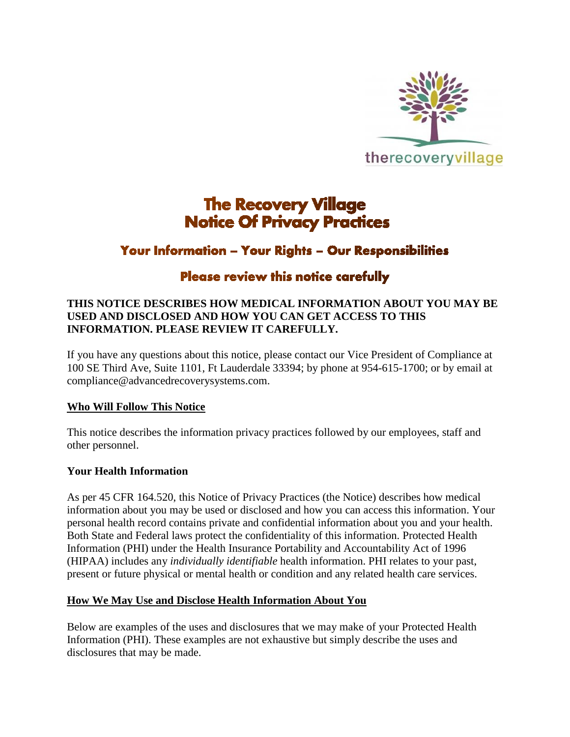

# **The Recovery Village Notice Of Privacy Practices**

# **Your Information - Your Rights - Our Responsibilities**

# Please review this notice carefully

## **THIS NOTICE DESCRIBES HOW MEDICAL INFORMATION ABOUT YOU MAY BE USED AND DISCLOSED AND HOW YOU CAN GET ACCESS TO THIS INFORMATION. PLEASE REVIEW IT CAREFULLY.**

If you have any questions about this notice, please contact our Vice President of Compliance at 100 SE Third Ave, Suite 1101, Ft Lauderdale 33394; by phone at 954-615-1700; or by email at compliance@advancedrecoverysystems.com.

## **Who Will Follow This Notice**

This notice describes the information privacy practices followed by our employees, staff and other personnel.

## **Your Health Information**

As per 45 CFR 164.520, this Notice of Privacy Practices (the Notice) describes how medical information about you may be used or disclosed and how you can access this information. Your personal health record contains private and confidential information about you and your health. Both State and Federal laws protect the confidentiality of this information. Protected Health Information (PHI) under the Health Insurance Portability and Accountability Act of 1996 (HIPAA) includes any *individually identifiable* health information. PHI relates to your past, present or future physical or mental health or condition and any related health care services.

## **How We May Use and Disclose Health Information About You**

Below are examples of the uses and disclosures that we may make of your Protected Health Information (PHI). These examples are not exhaustive but simply describe the uses and disclosures that may be made.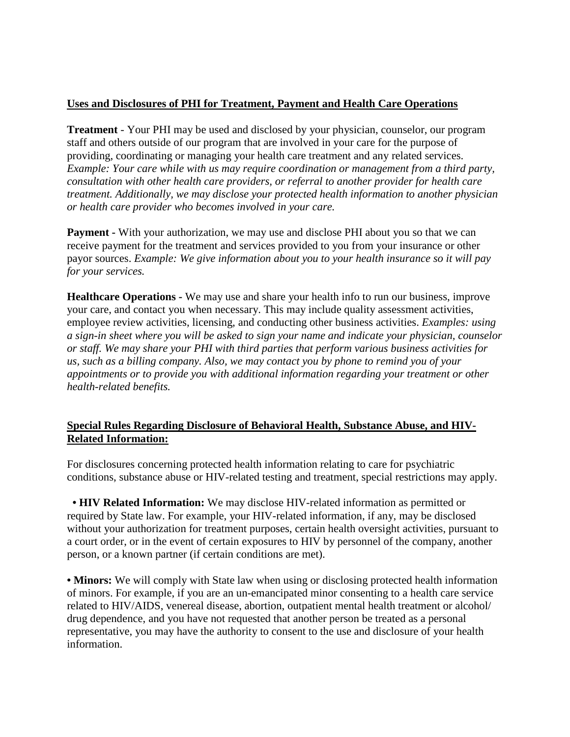# **Uses and Disclosures of PHI for Treatment, Payment and Health Care Operations**

**Treatment** - Your PHI may be used and disclosed by your physician, counselor, our program staff and others outside of our program that are involved in your care for the purpose of providing, coordinating or managing your health care treatment and any related services. *Example: Your care while with us may require coordination or management from a third party, consultation with other health care providers, or referral to another provider for health care treatment. Additionally, we may disclose your protected health information to another physician or health care provider who becomes involved in your care.*

**Payment -** With your authorization, we may use and disclose PHI about you so that we can receive payment for the treatment and services provided to you from your insurance or other payor sources. *Example: We give information about you to your health insurance so it will pay for your services.*

**Healthcare Operations -** We may use and share your health info to run our business, improve your care, and contact you when necessary. This may include quality assessment activities, employee review activities, licensing, and conducting other business activities. *Examples: using a sign-in sheet where you will be asked to sign your name and indicate your physician, counselor or staff. We may share your PHI with third parties that perform various business activities for us, such as a billing company. Also, we may contact you by phone to remind you of your appointments or to provide you with additional information regarding your treatment or other health-related benefits.*

## **Special Rules Regarding Disclosure of Behavioral Health, Substance Abuse, and HIV-Related Information:**

For disclosures concerning protected health information relating to care for psychiatric conditions, substance abuse or HIV-related testing and treatment, special restrictions may apply.

 **• HIV Related Information:** We may disclose HIV-related information as permitted or required by State law. For example, your HIV-related information, if any, may be disclosed without your authorization for treatment purposes, certain health oversight activities, pursuant to a court order, or in the event of certain exposures to HIV by personnel of the company, another person, or a known partner (if certain conditions are met).

• **Minors:** We will comply with State law when using or disclosing protected health information of minors. For example, if you are an un-emancipated minor consenting to a health care service related to HIV/AIDS, venereal disease, abortion, outpatient mental health treatment or alcohol/ drug dependence, and you have not requested that another person be treated as a personal representative, you may have the authority to consent to the use and disclosure of your health information.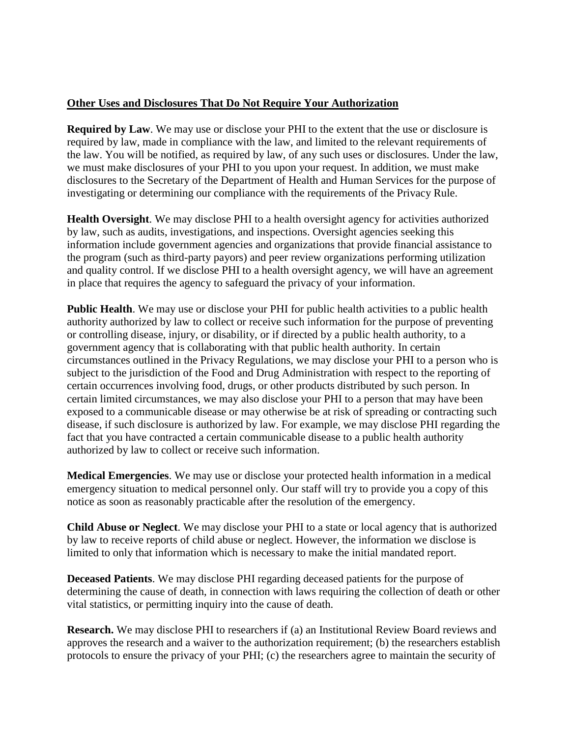#### **Other Uses and Disclosures That Do Not Require Your Authorization**

**Required by Law**. We may use or disclose your PHI to the extent that the use or disclosure is required by law, made in compliance with the law, and limited to the relevant requirements of the law. You will be notified, as required by law, of any such uses or disclosures. Under the law, we must make disclosures of your PHI to you upon your request. In addition, we must make disclosures to the Secretary of the Department of Health and Human Services for the purpose of investigating or determining our compliance with the requirements of the Privacy Rule.

**Health Oversight**. We may disclose PHI to a health oversight agency for activities authorized by law, such as audits, investigations, and inspections. Oversight agencies seeking this information include government agencies and organizations that provide financial assistance to the program (such as third-party payors) and peer review organizations performing utilization and quality control. If we disclose PHI to a health oversight agency, we will have an agreement in place that requires the agency to safeguard the privacy of your information.

**Public Health**. We may use or disclose your PHI for public health activities to a public health authority authorized by law to collect or receive such information for the purpose of preventing or controlling disease, injury, or disability, or if directed by a public health authority, to a government agency that is collaborating with that public health authority. In certain circumstances outlined in the Privacy Regulations, we may disclose your PHI to a person who is subject to the jurisdiction of the Food and Drug Administration with respect to the reporting of certain occurrences involving food, drugs, or other products distributed by such person. In certain limited circumstances, we may also disclose your PHI to a person that may have been exposed to a communicable disease or may otherwise be at risk of spreading or contracting such disease, if such disclosure is authorized by law. For example, we may disclose PHI regarding the fact that you have contracted a certain communicable disease to a public health authority authorized by law to collect or receive such information.

**Medical Emergencies**. We may use or disclose your protected health information in a medical emergency situation to medical personnel only. Our staff will try to provide you a copy of this notice as soon as reasonably practicable after the resolution of the emergency.

**Child Abuse or Neglect**. We may disclose your PHI to a state or local agency that is authorized by law to receive reports of child abuse or neglect. However, the information we disclose is limited to only that information which is necessary to make the initial mandated report.

**Deceased Patients**. We may disclose PHI regarding deceased patients for the purpose of determining the cause of death, in connection with laws requiring the collection of death or other vital statistics, or permitting inquiry into the cause of death.

**Research.** We may disclose PHI to researchers if (a) an Institutional Review Board reviews and approves the research and a waiver to the authorization requirement; (b) the researchers establish protocols to ensure the privacy of your PHI; (c) the researchers agree to maintain the security of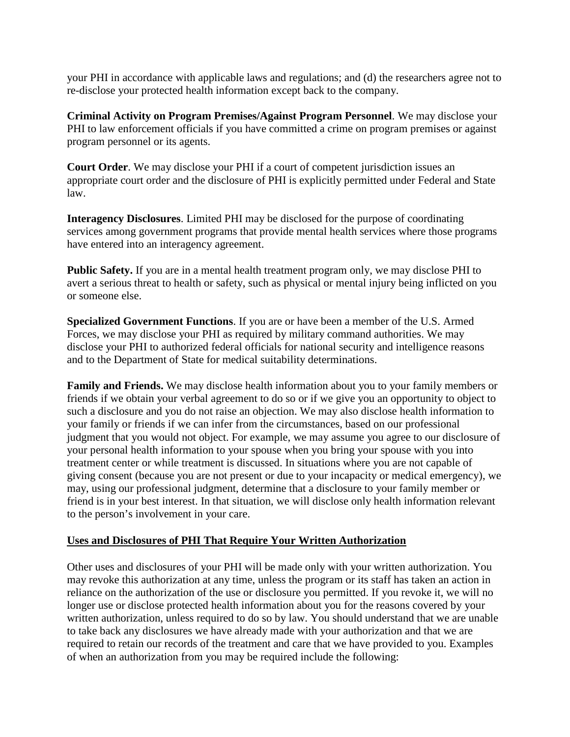your PHI in accordance with applicable laws and regulations; and (d) the researchers agree not to re-disclose your protected health information except back to the company.

**Criminal Activity on Program Premises/Against Program Personnel**. We may disclose your PHI to law enforcement officials if you have committed a crime on program premises or against program personnel or its agents.

**Court Order**. We may disclose your PHI if a court of competent jurisdiction issues an appropriate court order and the disclosure of PHI is explicitly permitted under Federal and State law.

**Interagency Disclosures**. Limited PHI may be disclosed for the purpose of coordinating services among government programs that provide mental health services where those programs have entered into an interagency agreement.

**Public Safety.** If you are in a mental health treatment program only, we may disclose PHI to avert a serious threat to health or safety, such as physical or mental injury being inflicted on you or someone else.

**Specialized Government Functions**. If you are or have been a member of the U.S. Armed Forces, we may disclose your PHI as required by military command authorities. We may disclose your PHI to authorized federal officials for national security and intelligence reasons and to the Department of State for medical suitability determinations.

**Family and Friends.** We may disclose health information about you to your family members or friends if we obtain your verbal agreement to do so or if we give you an opportunity to object to such a disclosure and you do not raise an objection. We may also disclose health information to your family or friends if we can infer from the circumstances, based on our professional judgment that you would not object. For example, we may assume you agree to our disclosure of your personal health information to your spouse when you bring your spouse with you into treatment center or while treatment is discussed. In situations where you are not capable of giving consent (because you are not present or due to your incapacity or medical emergency), we may, using our professional judgment, determine that a disclosure to your family member or friend is in your best interest. In that situation, we will disclose only health information relevant to the person's involvement in your care.

## **Uses and Disclosures of PHI That Require Your Written Authorization**

Other uses and disclosures of your PHI will be made only with your written authorization. You may revoke this authorization at any time, unless the program or its staff has taken an action in reliance on the authorization of the use or disclosure you permitted. If you revoke it, we will no longer use or disclose protected health information about you for the reasons covered by your written authorization, unless required to do so by law. You should understand that we are unable to take back any disclosures we have already made with your authorization and that we are required to retain our records of the treatment and care that we have provided to you. Examples of when an authorization from you may be required include the following: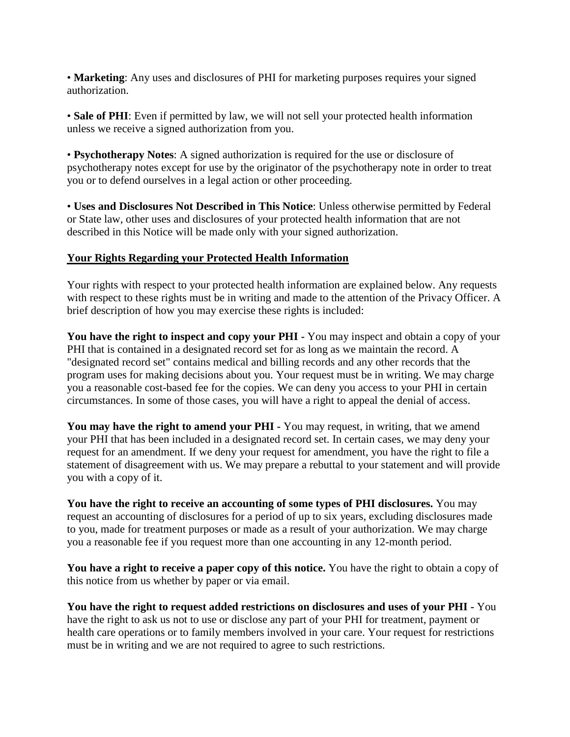• **Marketing**: Any uses and disclosures of PHI for marketing purposes requires your signed authorization.

• **Sale of PHI**: Even if permitted by law, we will not sell your protected health information unless we receive a signed authorization from you.

• **Psychotherapy Notes**: A signed authorization is required for the use or disclosure of psychotherapy notes except for use by the originator of the psychotherapy note in order to treat you or to defend ourselves in a legal action or other proceeding.

• **Uses and Disclosures Not Described in This Notice**: Unless otherwise permitted by Federal or State law, other uses and disclosures of your protected health information that are not described in this Notice will be made only with your signed authorization.

#### **Your Rights Regarding your Protected Health Information**

Your rights with respect to your protected health information are explained below. Any requests with respect to these rights must be in writing and made to the attention of the Privacy Officer. A brief description of how you may exercise these rights is included:

**You have the right to inspect and copy your PHI -** You may inspect and obtain a copy of your PHI that is contained in a designated record set for as long as we maintain the record. A "designated record set" contains medical and billing records and any other records that the program uses for making decisions about you. Your request must be in writing. We may charge you a reasonable cost-based fee for the copies. We can deny you access to your PHI in certain circumstances. In some of those cases, you will have a right to appeal the denial of access.

**You may have the right to amend your PHI -** You may request, in writing, that we amend your PHI that has been included in a designated record set. In certain cases, we may deny your request for an amendment. If we deny your request for amendment, you have the right to file a statement of disagreement with us. We may prepare a rebuttal to your statement and will provide you with a copy of it.

**You have the right to receive an accounting of some types of PHI disclosures.** You may request an accounting of disclosures for a period of up to six years, excluding disclosures made to you, made for treatment purposes or made as a result of your authorization. We may charge you a reasonable fee if you request more than one accounting in any 12-month period.

**You have a right to receive a paper copy of this notice.** You have the right to obtain a copy of this notice from us whether by paper or via email.

**You have the right to request added restrictions on disclosures and uses of your PHI -** You have the right to ask us not to use or disclose any part of your PHI for treatment, payment or health care operations or to family members involved in your care. Your request for restrictions must be in writing and we are not required to agree to such restrictions.